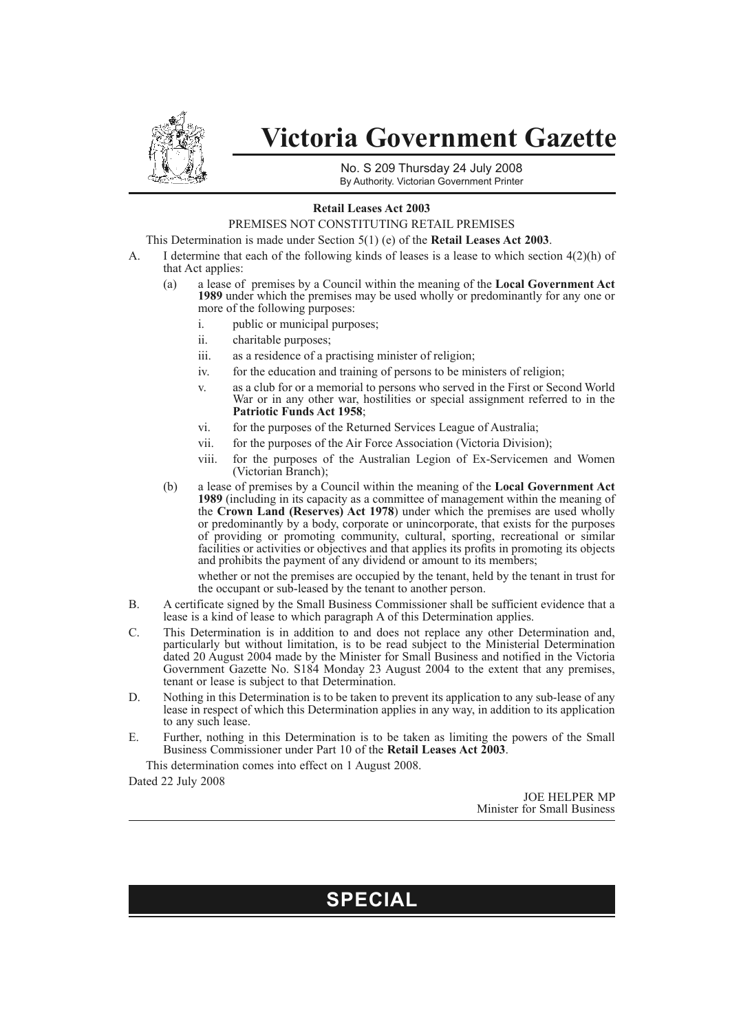

# **Victoria Government Gazette**

No. S 209 Thursday 24 July 2008 By Authority. Victorian Government Printer

#### **Retail Leases Act 2003**

### PREMISES NOT CONSTITUTING RETAIL PREMISES

This Determination is made under Section 5(1) (e) of the **Retail Leases Act 2003**.

- A. I determine that each of the following kinds of leases is a lease to which section 4(2)(h) of that Act applies:
	- (a) a lease of premises by a Council within the meaning of the **Local Government Act 1989** under which the premises may be used wholly or predominantly for any one or more of the following purposes:
		- i. public or municipal purposes;
		- ii. charitable purposes;
		- iii. as a residence of a practising minister of religion;
		- iv. for the education and training of persons to be ministers of religion;
		- v. as a club for or a memorial to persons who served in the First or Second World War or in any other war, hostilities or special assignment referred to in the **Patriotic Funds Act 1958**;
		- vi. for the purposes of the Returned Services League of Australia;
		- vii. for the purposes of the Air Force Association (Victoria Division);
		- viii. for the purposes of the Australian Legion of Ex-Servicemen and Women (Victorian Branch);
	- (b) a lease of premises by a Council within the meaning of the **Local Government Act 1989** (including in its capacity as a committee of management within the meaning of the **Crown Land (Reserves) Act 1978**) under which the premises are used wholly or predominantly by a body, corporate or unincorporate, that exists for the purposes of providing or promoting community, cultural, sporting, recreational or similar facilities or activities or objectives and that applies its profits in promoting its objects and prohibits the payment of any dividend or amount to its members;

whether or not the premises are occupied by the tenant, held by the tenant in trust for the occupant or sub-leased by the tenant to another person.

- B. A certificate signed by the Small Business Commissioner shall be sufficient evidence that a lease is a kind of lease to which paragraph A of this Determination applies.
- C. This Determination is in addition to and does not replace any other Determination and, particularly but without limitation, is to be read subject to the Ministerial Determination dated 20 August 2004 made by the Minister for Small Business and notified in the Victoria Government Gazette No. S184 Monday 23 August 2004 to the extent that any premises, tenant or lease is subject to that Determination.
- D. Nothing in this Determination is to be taken to prevent its application to any sub-lease of any lease in respect of which this Determination applies in any way, in addition to its application to any such lease.
- E. Further, nothing in this Determination is to be taken as limiting the powers of the Small Business Commissioner under Part 10 of the **Retail Leases Act 2003**.

This determination comes into effect on 1 August 2008.

Dated 22 July 2008

JOE HELPER MP Minister for Small Business

## **SPECIAL**